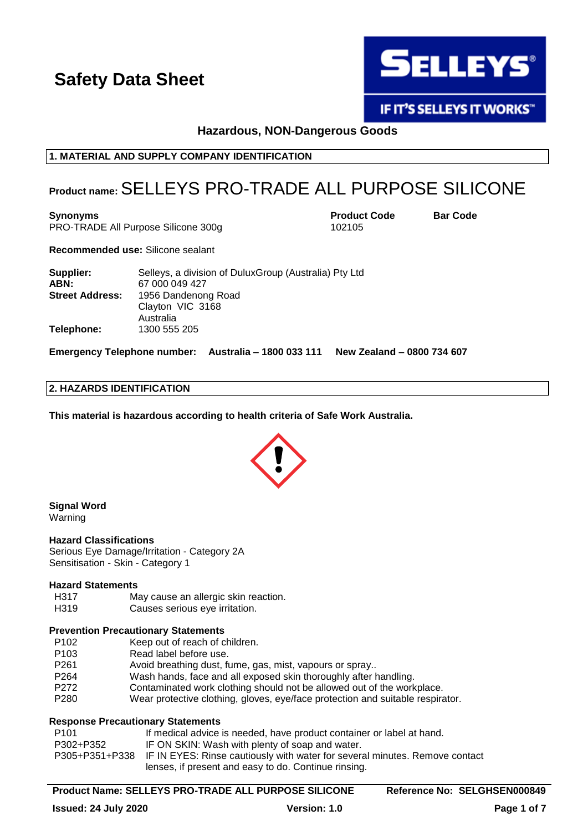

**IF IT'S SELLEYS IT WORKS"** 

**Hazardous, NON-Dangerous Goods**

#### **1. MATERIAL AND SUPPLY COMPANY IDENTIFICATION**

### **Product name:**SELLEYS PRO-TRADE ALL PURPOSE SILICONE

**Synonyms Product Code Bar Code**

PRO-TRADE All Purpose Silicone 300g 102105

**Recommended use:** Silicone sealant

| Supplier:<br>ABN:      | Selleys, a division of Dulux Group (Australia) Pty Ltd<br>67 000 049 427 |
|------------------------|--------------------------------------------------------------------------|
| <b>Street Address:</b> | 1956 Dandenong Road<br>Clayton VIC 3168<br>Australia                     |
| Telephone:             | 1300 555 205                                                             |

**Emergency Telephone number: Australia – 1800 033 111 New Zealand – 0800 734 607**

#### **2. HAZARDS IDENTIFICATION**

**This material is hazardous according to health criteria of Safe Work Australia.**



**Signal Word**

Warning

#### **Hazard Classifications**

Serious Eye Damage/Irritation - Category 2A Sensitisation - Skin - Category 1

#### **Hazard Statements**

- H317 May cause an allergic skin reaction.
- H319 Causes serious eye irritation.

#### **Prevention Precautionary Statements**

- P102 Keep out of reach of children.
- P103 Read label before use.
- P261 Avoid breathing dust, fume, gas, mist, vapours or spray..
- P264 Wash hands, face and all exposed skin thoroughly after handling.
- P272 Contaminated work clothing should not be allowed out of the workplace.
- P280 Wear protective clothing, gloves, eye/face protection and suitable respirator.

#### **Response Precautionary Statements**

| P101      | If medical advice is needed, have product container or label at hand.                      |
|-----------|--------------------------------------------------------------------------------------------|
| P302+P352 | IF ON SKIN: Wash with plenty of soap and water.                                            |
|           | P305+P351+P338 IF IN EYES: Rinse cautiously with water for several minutes. Remove contact |
|           | lenses, if present and easy to do. Continue rinsing.                                       |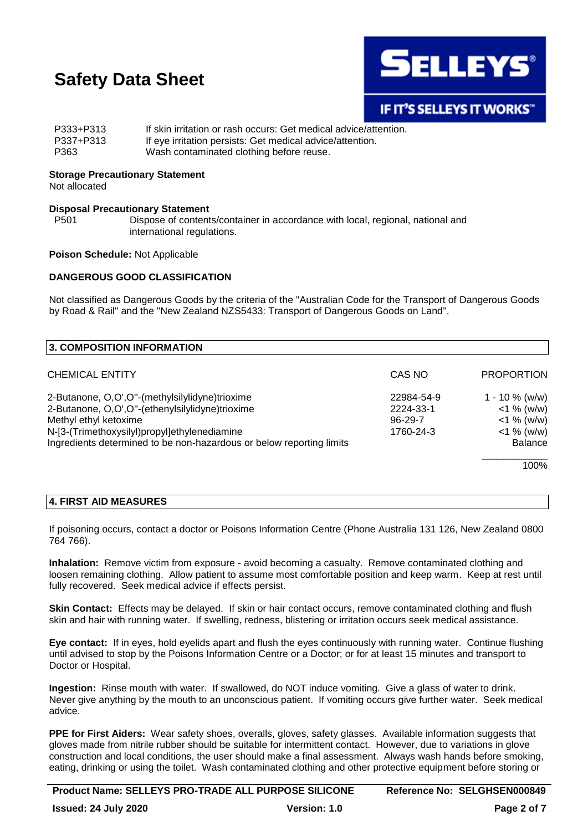

| P333+P313 | If skin irritation or rash occurs: Get medical advice/attention. |
|-----------|------------------------------------------------------------------|
| P337+P313 | If eye irritation persists: Get medical advice/attention.        |
| P363      | Wash contaminated clothing before reuse.                         |

### **Storage Precautionary Statement**

Not allocated

#### **Disposal Precautionary Statement**

P501 Dispose of contents/container in accordance with local, regional, national and international regulations.

#### **Poison Schedule:** Not Applicable

#### **DANGEROUS GOOD CLASSIFICATION**

Not classified as Dangerous Goods by the criteria of the "Australian Code for the Transport of Dangerous Goods by Road & Rail" and the "New Zealand NZS5433: Transport of Dangerous Goods on Land".

| 3. COMPOSITION INFORMATION                                           |               |                   |
|----------------------------------------------------------------------|---------------|-------------------|
| <b>CHEMICAL ENTITY</b>                                               | CAS NO        | <b>PROPORTION</b> |
| 2-Butanone, O,O',O"-(methylsilylidyne)trioxime                       | 22984-54-9    | $1 - 10 \%$ (w/w) |
| 2-Butanone, O,O',O"-(ethenylsilylidyne)trioxime                      | 2224-33-1     | $<$ 1 % (w/w)     |
| Methyl ethyl ketoxime                                                | $96 - 29 - 7$ | $<$ 1 % (w/w)     |
| N-[3-(Trimethoxysilyl)propyl]ethylenediamine                         | 1760-24-3     | $<$ 1 % (w/w)     |
| Ingredients determined to be non-hazardous or below reporting limits |               | <b>Balance</b>    |
|                                                                      |               | 100%              |
|                                                                      |               |                   |

#### **4. FIRST AID MEASURES**

If poisoning occurs, contact a doctor or Poisons Information Centre (Phone Australia 131 126, New Zealand 0800 764 766).

**Inhalation:** Remove victim from exposure - avoid becoming a casualty. Remove contaminated clothing and loosen remaining clothing. Allow patient to assume most comfortable position and keep warm. Keep at rest until fully recovered. Seek medical advice if effects persist.

**Skin Contact:** Effects may be delayed. If skin or hair contact occurs, remove contaminated clothing and flush skin and hair with running water. If swelling, redness, blistering or irritation occurs seek medical assistance.

**Eye contact:** If in eyes, hold eyelids apart and flush the eyes continuously with running water. Continue flushing until advised to stop by the Poisons Information Centre or a Doctor; or for at least 15 minutes and transport to Doctor or Hospital.

**Ingestion:** Rinse mouth with water. If swallowed, do NOT induce vomiting. Give a glass of water to drink. Never give anything by the mouth to an unconscious patient. If vomiting occurs give further water. Seek medical advice.

**PPE for First Aiders:** Wear safety shoes, overalls, gloves, safety glasses. Available information suggests that gloves made from nitrile rubber should be suitable for intermittent contact. However, due to variations in glove construction and local conditions, the user should make a final assessment. Always wash hands before smoking, eating, drinking or using the toilet. Wash contaminated clothing and other protective equipment before storing or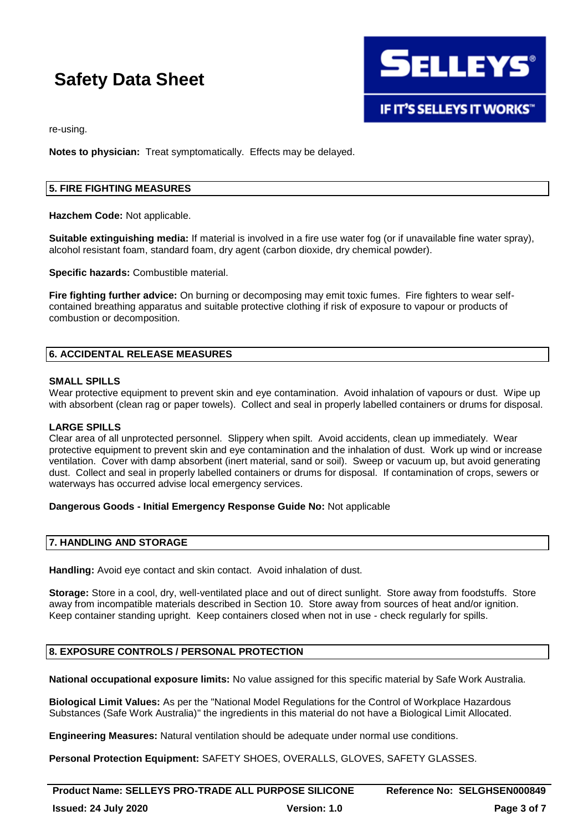**SELLEYS® IF IT'S SELLEYS IT WORKS"** 

re-using.

**Notes to physician:** Treat symptomatically. Effects may be delayed.

#### **5. FIRE FIGHTING MEASURES**

**Hazchem Code:** Not applicable.

**Suitable extinguishing media:** If material is involved in a fire use water fog (or if unavailable fine water spray), alcohol resistant foam, standard foam, dry agent (carbon dioxide, dry chemical powder).

**Specific hazards:** Combustible material.

**Fire fighting further advice:** On burning or decomposing may emit toxic fumes. Fire fighters to wear selfcontained breathing apparatus and suitable protective clothing if risk of exposure to vapour or products of combustion or decomposition.

#### **6. ACCIDENTAL RELEASE MEASURES**

#### **SMALL SPILLS**

Wear protective equipment to prevent skin and eye contamination. Avoid inhalation of vapours or dust. Wipe up with absorbent (clean rag or paper towels). Collect and seal in properly labelled containers or drums for disposal.

#### **LARGE SPILLS**

Clear area of all unprotected personnel. Slippery when spilt. Avoid accidents, clean up immediately. Wear protective equipment to prevent skin and eye contamination and the inhalation of dust. Work up wind or increase ventilation. Cover with damp absorbent (inert material, sand or soil). Sweep or vacuum up, but avoid generating dust. Collect and seal in properly labelled containers or drums for disposal. If contamination of crops, sewers or waterways has occurred advise local emergency services.

#### **Dangerous Goods - Initial Emergency Response Guide No:** Not applicable

#### **7. HANDLING AND STORAGE**

**Handling:** Avoid eye contact and skin contact. Avoid inhalation of dust.

**Storage:** Store in a cool, dry, well-ventilated place and out of direct sunlight. Store away from foodstuffs. Store away from incompatible materials described in Section 10. Store away from sources of heat and/or ignition. Keep container standing upright. Keep containers closed when not in use - check regularly for spills.

#### **8. EXPOSURE CONTROLS / PERSONAL PROTECTION**

**National occupational exposure limits:** No value assigned for this specific material by Safe Work Australia.

**Biological Limit Values:** As per the "National Model Regulations for the Control of Workplace Hazardous Substances (Safe Work Australia)" the ingredients in this material do not have a Biological Limit Allocated.

**Engineering Measures:** Natural ventilation should be adequate under normal use conditions.

**Personal Protection Equipment:** SAFETY SHOES, OVERALLS, GLOVES, SAFETY GLASSES.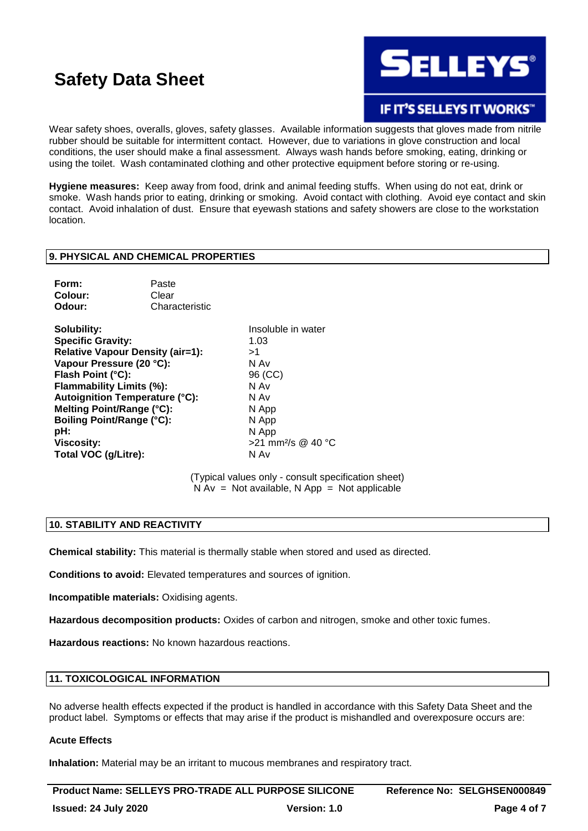

**IF IT'S SELLEYS IT WORKS"** 

Wear safety shoes, overalls, gloves, safety glasses. Available information suggests that gloves made from nitrile rubber should be suitable for intermittent contact. However, due to variations in glove construction and local conditions, the user should make a final assessment. Always wash hands before smoking, eating, drinking or using the toilet. Wash contaminated clothing and other protective equipment before storing or re-using.

**Hygiene measures:** Keep away from food, drink and animal feeding stuffs. When using do not eat, drink or smoke. Wash hands prior to eating, drinking or smoking. Avoid contact with clothing. Avoid eye contact and skin contact. Avoid inhalation of dust. Ensure that eyewash stations and safety showers are close to the workstation location.

#### **9. PHYSICAL AND CHEMICAL PROPERTIES**

| Form:   | Paste          |
|---------|----------------|
| Colour: | Clear          |
| Odour:  | Characteristic |

**Solubility:** Insoluble in water **Specific Gravity:** 1.03 **Relative Vapour Density (air=1):** >1 **Vapour Pressure (20 °C):** N Av **Flash Point (°C):** 96 (CC) **Flammability Limits (%):** N Av **Autoignition Temperature (°C):** N Av **Melting Point/Range (°C):** N App **Boiling Point/Range (°C):** N App **pH:** N App **Viscosity:**  $>$ 21 mm<sup>2</sup>/s @ 40 °C **Total VOC (g/Litre):** N Av

(Typical values only - consult specification sheet)  $N Av = Not available, N App = Not applicable$ 

#### **10. STABILITY AND REACTIVITY**

**Chemical stability:** This material is thermally stable when stored and used as directed.

**Conditions to avoid:** Elevated temperatures and sources of ignition.

**Incompatible materials:** Oxidising agents.

**Hazardous decomposition products:** Oxides of carbon and nitrogen, smoke and other toxic fumes.

**Hazardous reactions:** No known hazardous reactions.

#### **11. TOXICOLOGICAL INFORMATION**

No adverse health effects expected if the product is handled in accordance with this Safety Data Sheet and the product label. Symptoms or effects that may arise if the product is mishandled and overexposure occurs are:

#### **Acute Effects**

**Inhalation:** Material may be an irritant to mucous membranes and respiratory tract.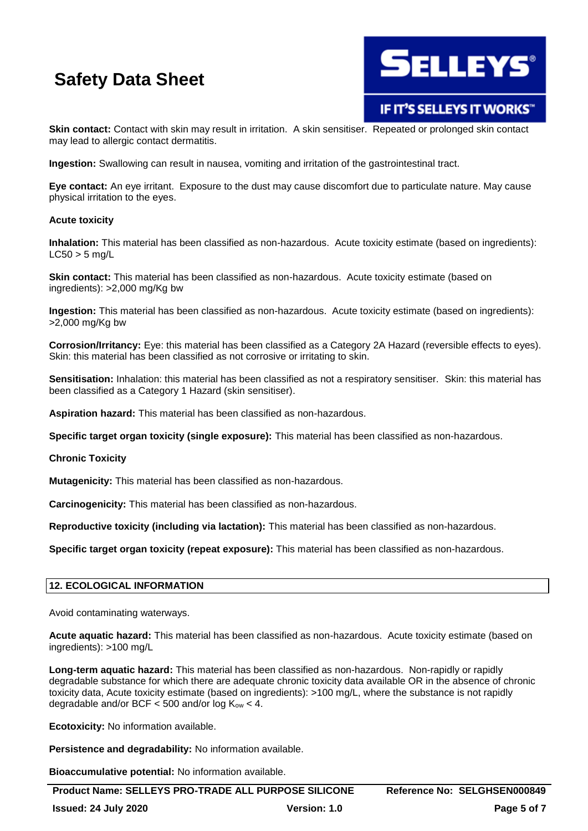

IF IT'S SELLEYS IT WORKS"

**Skin contact:** Contact with skin may result in irritation. A skin sensitiser. Repeated or prolonged skin contact may lead to allergic contact dermatitis.

**Ingestion:** Swallowing can result in nausea, vomiting and irritation of the gastrointestinal tract.

**Eye contact:** An eye irritant. Exposure to the dust may cause discomfort due to particulate nature. May cause physical irritation to the eyes.

#### **Acute toxicity**

**Inhalation:** This material has been classified as non-hazardous. Acute toxicity estimate (based on ingredients):  $LC50 > 5$  ma/L

**Skin contact:** This material has been classified as non-hazardous. Acute toxicity estimate (based on ingredients): >2,000 mg/Kg bw

**Ingestion:** This material has been classified as non-hazardous. Acute toxicity estimate (based on ingredients): >2,000 mg/Kg bw

**Corrosion/Irritancy:** Eye: this material has been classified as a Category 2A Hazard (reversible effects to eyes). Skin: this material has been classified as not corrosive or irritating to skin.

**Sensitisation:** Inhalation: this material has been classified as not a respiratory sensitiser. Skin: this material has been classified as a Category 1 Hazard (skin sensitiser).

**Aspiration hazard:** This material has been classified as non-hazardous.

**Specific target organ toxicity (single exposure):** This material has been classified as non-hazardous.

**Chronic Toxicity**

**Mutagenicity:** This material has been classified as non-hazardous.

**Carcinogenicity:** This material has been classified as non-hazardous.

**Reproductive toxicity (including via lactation):** This material has been classified as non-hazardous.

**Specific target organ toxicity (repeat exposure):** This material has been classified as non-hazardous.

#### **12. ECOLOGICAL INFORMATION**

Avoid contaminating waterways.

**Acute aquatic hazard:** This material has been classified as non-hazardous. Acute toxicity estimate (based on ingredients): >100 mg/L

**Long-term aquatic hazard:** This material has been classified as non-hazardous. Non-rapidly or rapidly degradable substance for which there are adequate chronic toxicity data available OR in the absence of chronic toxicity data, Acute toxicity estimate (based on ingredients): >100 mg/L, where the substance is not rapidly degradable and/or BCF  $<$  500 and/or log  $K_{ow}$   $<$  4.

**Ecotoxicity:** No information available.

**Persistence and degradability:** No information available.

**Bioaccumulative potential:** No information available.

**Product Name: SELLEYS PRO-TRADE ALL PURPOSE SILICONE Reference No: SELGHSEN000849**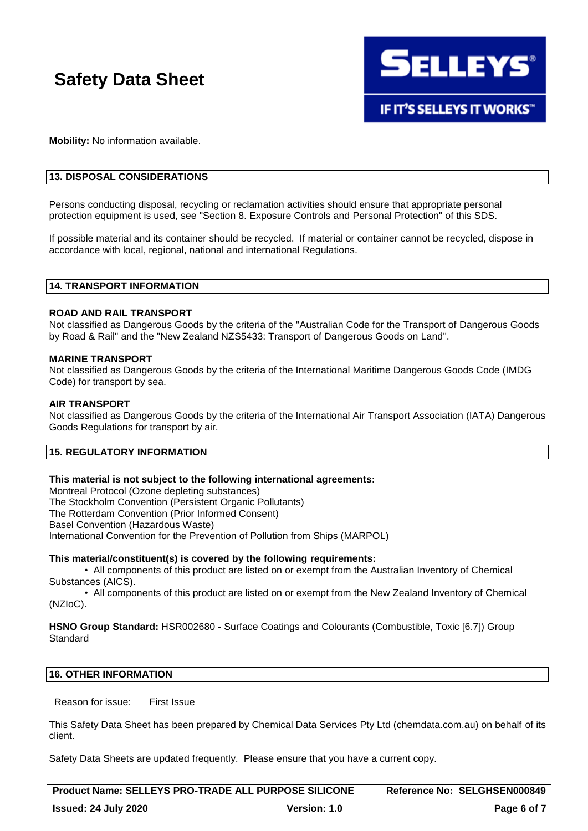

**Mobility:** No information available.

#### **13. DISPOSAL CONSIDERATIONS**

Persons conducting disposal, recycling or reclamation activities should ensure that appropriate personal protection equipment is used, see "Section 8. Exposure Controls and Personal Protection" of this SDS.

If possible material and its container should be recycled. If material or container cannot be recycled, dispose in accordance with local, regional, national and international Regulations.

#### **14. TRANSPORT INFORMATION**

#### **ROAD AND RAIL TRANSPORT**

Not classified as Dangerous Goods by the criteria of the "Australian Code for the Transport of Dangerous Goods by Road & Rail" and the "New Zealand NZS5433: Transport of Dangerous Goods on Land".

#### **MARINE TRANSPORT**

Not classified as Dangerous Goods by the criteria of the International Maritime Dangerous Goods Code (IMDG Code) for transport by sea.

#### **AIR TRANSPORT**

Not classified as Dangerous Goods by the criteria of the International Air Transport Association (IATA) Dangerous Goods Regulations for transport by air.

#### **15. REGULATORY INFORMATION**

#### **This material is not subject to the following international agreements:**

Montreal Protocol (Ozone depleting substances) The Stockholm Convention (Persistent Organic Pollutants) The Rotterdam Convention (Prior Informed Consent) Basel Convention (Hazardous Waste) International Convention for the Prevention of Pollution from Ships (MARPOL)

#### **This material/constituent(s) is covered by the following requirements:**

• All components of this product are listed on or exempt from the Australian Inventory of Chemical Substances (AICS).

• All components of this product are listed on or exempt from the New Zealand Inventory of Chemical (NZIoC).

**HSNO Group Standard:** HSR002680 - Surface Coatings and Colourants (Combustible, Toxic [6.7]) Group Standard

#### **16. OTHER INFORMATION**

Reason for issue: First Issue

This Safety Data Sheet has been prepared by Chemical Data Services Pty Ltd (chemdata.com.au) on behalf of its client.

Safety Data Sheets are updated frequently. Please ensure that you have a current copy.